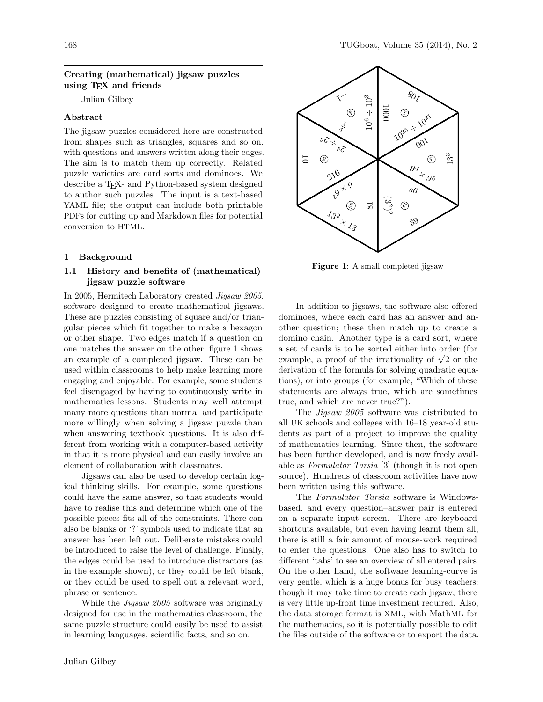# Creating (mathematical) jigsaw puzzles using TEX and friends

Julian Gilbey

# Abstract

The jigsaw puzzles considered here are constructed from shapes such as triangles, squares and so on, with questions and answers written along their edges. The aim is to match them up correctly. Related puzzle varieties are card sorts and dominoes. We describe a TEX- and Python-based system designed to author such puzzles. The input is a text-based YAML file; the output can include both printable PDFs for cutting up and Markdown files for potential conversion to HTML.

# 1 Background

# 1.1 History and benefits of (mathematical) jigsaw puzzle software

In 2005, Hermitech Laboratory created Jigsaw 2005, software designed to create mathematical jigsaws. These are puzzles consisting of square and/or triangular pieces which fit together to make a hexagon or other shape. Two edges match if a question on one matches the answer on the other; figure [1](#page-0-0) shows an example of a completed jigsaw. These can be used within classrooms to help make learning more engaging and enjoyable. For example, some students feel disengaged by having to continuously write in mathematics lessons. Students may well attempt many more questions than normal and participate more willingly when solving a jigsaw puzzle than when answering textbook questions. It is also different from working with a computer-based activity in that it is more physical and can easily involve an element of collaboration with classmates.

Jigsaws can also be used to develop certain logical thinking skills. For example, some questions could have the same answer, so that students would have to realise this and determine which one of the possible pieces fits all of the constraints. There can also be blanks or '?' symbols used to indicate that an answer has been left out. Deliberate mistakes could be introduced to raise the level of challenge. Finally, the edges could be used to introduce distractors (as in the example shown), or they could be left blank, or they could be used to spell out a relevant word, phrase or sentence.

While the *Jigsaw 2005* software was originally designed for use in the mathematics classroom, the same puzzle structure could easily be used to assist in learning languages, scientific facts, and so on.



<span id="page-0-0"></span>Figure 1: A small completed jigsaw

In addition to jigsaws, the software also offered dominoes, where each card has an answer and another question; these then match up to create a domino chain. Another type is a card sort, where a set of cards is to be sorted either into order (for a set or cards is to be sorted either into order (for example, a proof of the irrationality of  $\sqrt{2}$  or the derivation of the formula for solving quadratic equations), or into groups (for example, "Which of these statements are always true, which are sometimes true, and which are never true?").

The Jigsaw 2005 software was distributed to all UK schools and colleges with 16–18 year-old students as part of a project to improve the quality of mathematics learning. Since then, the software has been further developed, and is now freely available as Formulator Tarsia [\[3\]](#page-4-0) (though it is not open source). Hundreds of classroom activities have now been written using this software.

The Formulator Tarsia software is Windowsbased, and every question–answer pair is entered on a separate input screen. There are keyboard shortcuts available, but even having learnt them all, there is still a fair amount of mouse-work required to enter the questions. One also has to switch to different 'tabs' to see an overview of all entered pairs. On the other hand, the software learning-curve is very gentle, which is a huge bonus for busy teachers: though it may take time to create each jigsaw, there is very little up-front time investment required. Also, the data storage format is XML, with MathML for the mathematics, so it is potentially possible to edit the files outside of the software or to export the data.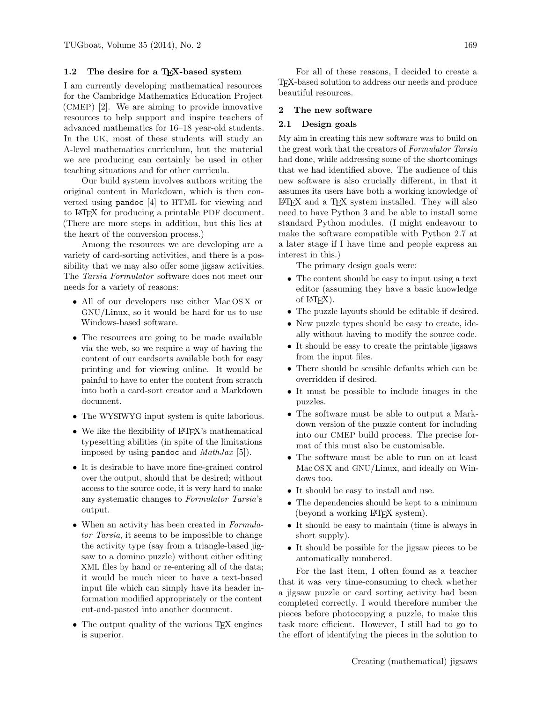# <span id="page-1-0"></span>1.2 The desire for a TEX-based system

I am currently developing mathematical resources for the Cambridge Mathematics Education Project (CMEP) [\[2\]](#page-4-1). We are aiming to provide innovative resources to help support and inspire teachers of advanced mathematics for 16–18 year-old students. In the UK, most of these students will study an A-level mathematics curriculum, but the material we are producing can certainly be used in other teaching situations and for other curricula.

Our build system involves authors writing the original content in Markdown, which is then converted using pandoc [\[4\]](#page-4-2) to HTML for viewing and to LATEX for producing a printable PDF document. (There are more steps in addition, but this lies at the heart of the conversion process.)

Among the resources we are developing are a variety of card-sorting activities, and there is a possibility that we may also offer some jigsaw activities. The Tarsia Formulator software does not meet our needs for a variety of reasons:

- All of our developers use either Mac OS X or GNU/Linux, so it would be hard for us to use Windows-based software.
- The resources are going to be made available via the web, so we require a way of having the content of our cardsorts available both for easy printing and for viewing online. It would be painful to have to enter the content from scratch into both a card-sort creator and a Markdown document.
- The WYSIWYG input system is quite laborious.
- We like the flexibility of LAT<sub>EX</sub>'s mathematical typesetting abilities (in spite of the limitations imposed by using pandoc and  $MathJax$  [\[5\]](#page-4-3)).
- It is desirable to have more fine-grained control over the output, should that be desired; without access to the source code, it is very hard to make any systematic changes to Formulator Tarsia's output.
- When an activity has been created in Formulator Tarsia, it seems to be impossible to change the activity type (say from a triangle-based jigsaw to a domino puzzle) without either editing XML files by hand or re-entering all of the data; it would be much nicer to have a text-based input file which can simply have its header information modified appropriately or the content cut-and-pasted into another document.
- The output quality of the various T<sub>E</sub>X engines is superior.

For all of these reasons, I decided to create a TEX-based solution to address our needs and produce beautiful resources.

### 2 The new software

### 2.1 Design goals

My aim in creating this new software was to build on the great work that the creators of Formulator Tarsia had done, while addressing some of the shortcomings that we had identified above. The audience of this new software is also crucially different, in that it assumes its users have both a working knowledge of LATEX and a TEX system installed. They will also need to have Python 3 and be able to install some standard Python modules. (I might endeavour to make the software compatible with Python 2.7 at a later stage if I have time and people express an interest in this.)

The primary design goals were:

- The content should be easy to input using a text editor (assuming they have a basic knowledge of  $LFT<sub>F</sub>X$ ).
- The puzzle layouts should be editable if desired.
- New puzzle types should be easy to create, ideally without having to modify the source code.
- It should be easy to create the printable jigsaws from the input files.
- There should be sensible defaults which can be overridden if desired.
- It must be possible to include images in the puzzles.
- The software must be able to output a Markdown version of the puzzle content for including into our CMEP build process. The precise format of this must also be customisable.
- The software must be able to run on at least Mac OS X and GNU/Linux, and ideally on Windows too.
- It should be easy to install and use.
- The dependencies should be kept to a minimum (beyond a working LATEX system).
- It should be easy to maintain (time is always in short supply).
- It should be possible for the jigsaw pieces to be automatically numbered.

For the last item, I often found as a teacher that it was very time-consuming to check whether a jigsaw puzzle or card sorting activity had been completed correctly. I would therefore number the pieces before photocopying a puzzle, to make this task more efficient. However, I still had to go to the effort of identifying the pieces in the solution to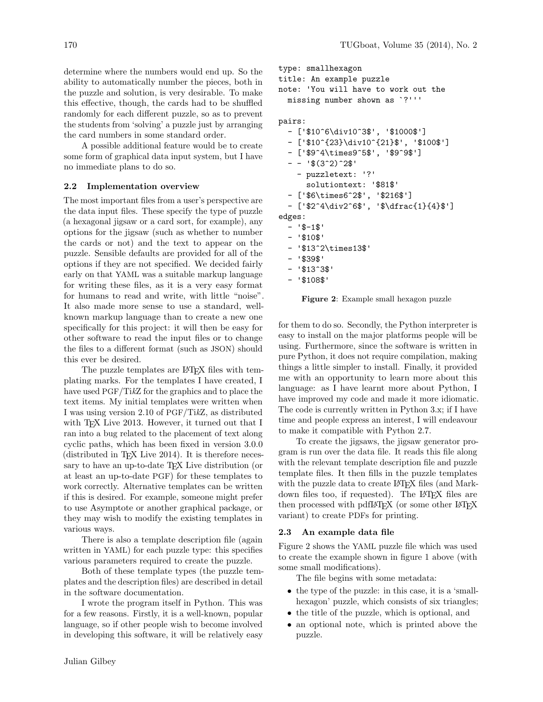determine where the numbers would end up. So the ability to automatically number the pieces, both in the puzzle and solution, is very desirable. To make this effective, though, the cards had to be shuffled randomly for each different puzzle, so as to prevent the students from 'solving' a puzzle just by arranging the card numbers in some standard order.

A possible additional feature would be to create some form of graphical data input system, but I have no immediate plans to do so.

# 2.2 Implementation overview

The most important files from a user's perspective are the data input files. These specify the type of puzzle (a hexagonal jigsaw or a card sort, for example), any options for the jigsaw (such as whether to number the cards or not) and the text to appear on the puzzle. Sensible defaults are provided for all of the options if they are not specified. We decided fairly early on that YAML was a suitable markup language for writing these files, as it is a very easy format for humans to read and write, with little "noise". It also made more sense to use a standard, wellknown markup language than to create a new one specifically for this project: it will then be easy for other software to read the input files or to change the files to a different format (such as JSON) should this ever be desired.

The puzzle templates are L<sup>AT</sup>FX files with templating marks. For the templates I have created, I have used PGF/TikZ for the graphics and to place the text items. My initial templates were written when I was using version 2.10 of PGF/TikZ, as distributed with T<sub>EX</sub> Live 2013. However, it turned out that I ran into a bug related to the placement of text along cyclic paths, which has been fixed in version 3.0.0  $(distributed in TFX Live 2014)$ . It is therefore necessary to have an up-to-date T<sub>EX</sub> Live distribution (or at least an up-to-date PGF) for these templates to work correctly. Alternative templates can be written if this is desired. For example, someone might prefer to use Asymptote or another graphical package, or they may wish to modify the existing templates in various ways.

There is also a template description file (again written in YAML) for each puzzle type: this specifies various parameters required to create the puzzle.

Both of these template types (the puzzle templates and the description files) are described in detail in the software documentation.

I wrote the program itself in Python. This was for a few reasons. Firstly, it is a well-known, popular language, so if other people wish to become involved in developing this software, it will be relatively easy

```
type: smallhexagon
title: An example puzzle
note: 'You will have to work out the
  missing number shown as `?'''
pairs:
```

```
- ['$10^6\div10^3$', '$1000$']
 - ['$10^{23}\div10^{21}$', '$100$']
  - ['$9^4\times9^5$', '$9^9$']
  - - '$(3^2)^2$'
    - puzzletext: '?'
      solutiontext: '$81$'
 - ['$6\times6^2$', '$216$']
  - ['$2^4\div2^6$', '$\dfrac{1}{4}$']
edges:
 - 15-15- '$10$'
  - '$13^2\times13$'
  - '$39$'
  - '$13^3$'
  - '$108$'
```
<span id="page-2-0"></span>Figure 2: Example small hexagon puzzle

for them to do so. Secondly, the Python interpreter is easy to install on the major platforms people will be using. Furthermore, since the software is written in pure Python, it does not require compilation, making things a little simpler to install. Finally, it provided me with an opportunity to learn more about this language: as I have learnt more about Python, I have improved my code and made it more idiomatic. The code is currently written in Python 3.x; if I have time and people express an interest, I will endeavour to make it compatible with Python 2.7.

To create the jigsaws, the jigsaw generator program is run over the data file. It reads this file along with the relevant template description file and puzzle template files. It then fills in the puzzle templates with the puzzle data to create LAT<sub>EX</sub> files (and Markdown files too, if requested). The L<sup>AT</sup>EX files are then processed with pdfLAT<sub>FX</sub> (or some other LAT<sub>FX</sub> variant) to create PDFs for printing.

# 2.3 An example data file

Figure [2](#page-2-0) shows the YAML puzzle file which was used to create the example shown in figure [1](#page-0-0) above (with some small modifications).

The file begins with some metadata:

- the type of the puzzle: in this case, it is a 'smallhexagon' puzzle, which consists of six triangles;
- the title of the puzzle, which is optional, and
- an optional note, which is printed above the puzzle.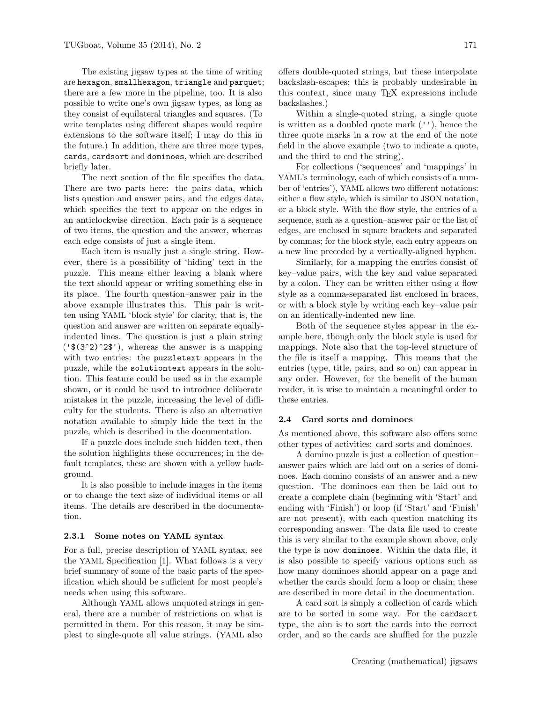The existing jigsaw types at the time of writing are hexagon, smallhexagon, triangle and parquet; there are a few more in the pipeline, too. It is also possible to write one's own jigsaw types, as long as they consist of equilateral triangles and squares. (To write templates using different shapes would require extensions to the software itself; I may do this in the future.) In addition, there are three more types, cards, cardsort and dominoes, which are described briefly later.

The next section of the file specifies the data. There are two parts here: the pairs data, which lists question and answer pairs, and the edges data, which specifies the text to appear on the edges in an anticlockwise direction. Each pair is a sequence of two items, the question and the answer, whereas each edge consists of just a single item.

Each item is usually just a single string. However, there is a possibility of 'hiding' text in the puzzle. This means either leaving a blank where the text should appear or writing something else in its place. The fourth question–answer pair in the above example illustrates this. This pair is written using YAML 'block style' for clarity, that is, the question and answer are written on separate equallyindented lines. The question is just a plain string  $('$(3^2)^2$')$ , whereas the answer is a mapping with two entries: the puzzletext appears in the puzzle, while the solutiontext appears in the solution. This feature could be used as in the example shown, or it could be used to introduce deliberate mistakes in the puzzle, increasing the level of difficulty for the students. There is also an alternative notation available to simply hide the text in the puzzle, which is described in the documentation.

If a puzzle does include such hidden text, then the solution highlights these occurrences; in the default templates, these are shown with a yellow background.

It is also possible to include images in the items or to change the text size of individual items or all items. The details are described in the documentation.

# 2.3.1 Some notes on YAML syntax

For a full, precise description of YAML syntax, see the YAML Specification [\[1\]](#page-4-4). What follows is a very brief summary of some of the basic parts of the specification which should be sufficient for most people's needs when using this software.

Although YAML allows unquoted strings in general, there are a number of restrictions on what is permitted in them. For this reason, it may be simplest to single-quote all value strings. (YAML also

offers double-quoted strings, but these interpolate backslash-escapes; this is probably undesirable in this context, since many TEX expressions include backslashes.)

Within a single-quoted string, a single quote is written as a doubled quote mark (''), hence the three quote marks in a row at the end of the note field in the above example (two to indicate a quote, and the third to end the string).

For collections ('sequences' and 'mappings' in YAML's terminology, each of which consists of a number of 'entries'), YAML allows two different notations: either a flow style, which is similar to JSON notation, or a block style. With the flow style, the entries of a sequence, such as a question–answer pair or the list of edges, are enclosed in square brackets and separated by commas; for the block style, each entry appears on a new line preceded by a vertically-aligned hyphen.

Similarly, for a mapping the entries consist of key–value pairs, with the key and value separated by a colon. They can be written either using a flow style as a comma-separated list enclosed in braces, or with a block style by writing each key–value pair on an identically-indented new line.

Both of the sequence styles appear in the example here, though only the block style is used for mappings. Note also that the top-level structure of the file is itself a mapping. This means that the entries (type, title, pairs, and so on) can appear in any order. However, for the benefit of the human reader, it is wise to maintain a meaningful order to these entries.

### 2.4 Card sorts and dominoes

As mentioned above, this software also offers some other types of activities: card sorts and dominoes.

A domino puzzle is just a collection of question– answer pairs which are laid out on a series of dominoes. Each domino consists of an answer and a new question. The dominoes can then be laid out to create a complete chain (beginning with 'Start' and ending with 'Finish') or loop (if 'Start' and 'Finish' are not present), with each question matching its corresponding answer. The data file used to create this is very similar to the example shown above, only the type is now dominoes. Within the data file, it is also possible to specify various options such as how many dominoes should appear on a page and whether the cards should form a loop or chain; these are described in more detail in the documentation.

A card sort is simply a collection of cards which are to be sorted in some way. For the cardsort type, the aim is to sort the cards into the correct order, and so the cards are shuffled for the puzzle